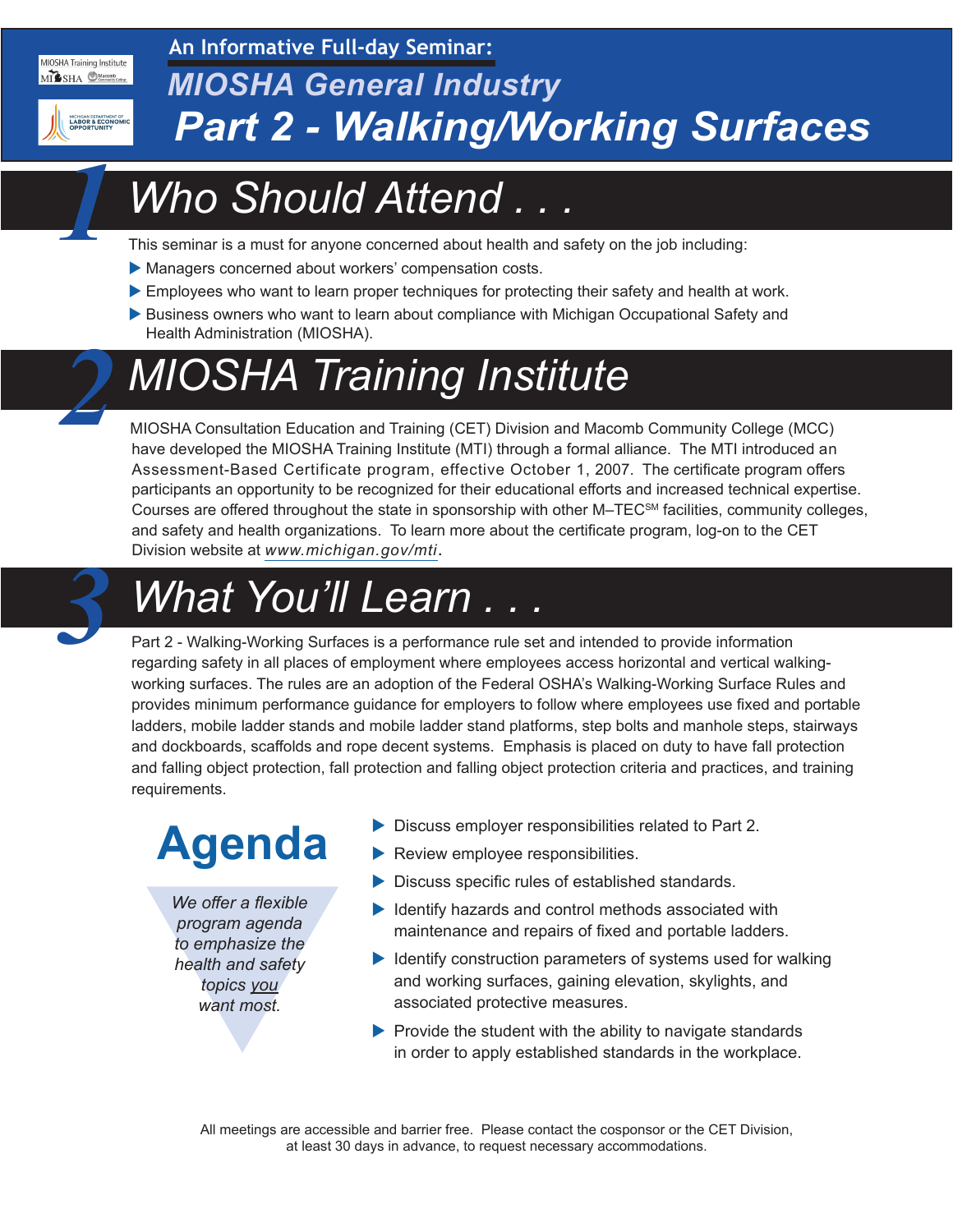#### MIOSHA Training Institute MILSHA CHA

**An Informative Full-day Seminar:**



*1*

*2*

#### *MIOSHA General Industry Part 2 - Walking/Working Surfaces*

# *Who Should Attend . . .*

This seminar is a must for anyone concerned about health and safety on the job including:

- Managers concerned about workers' compensation costs.
- Employees who want to learn proper techniques for protecting their safety and health at work.
- Business owners who want to learn about compliance with Michigan Occupational Safety and Health Administration (MIOSHA).

# *MIOSHA Training Institute*

MIOSHA Consultation Education and Training (CET) Division and Macomb Community College (MCC) have developed the MIOSHA Training Institute (MTI) through a formal alliance. The MTI introduced an Assessment-Based Certificate program, effective October 1, 2007. The certificate program offers participants an opportunity to be recognized for their educational efforts and increased technical expertise. Courses are offered throughout the state in sponsorship with other M–TECSM facilities, community colleges, and safety and health organizations. To learn more about the certificate program, log-on to the CET Division website at *[www.michigan.gov/mti](http://www.michigan.gov/mti)*.

## *What You'll Learn . . . 3*

Part 2 - Walking-Working Surfaces is a performance rule set and intended to provide information regarding safety in all places of employment where employees access horizontal and vertical walkingworking surfaces. The rules are an adoption of the Federal OSHA's Walking-Working Surface Rules and provides minimum performance guidance for employers to follow where employees use fixed and portable ladders, mobile ladder stands and mobile ladder stand platforms, step bolts and manhole steps, stairways and dockboards, scaffolds and rope decent systems. Emphasis is placed on duty to have fall protection and falling object protection, fall protection and falling object protection criteria and practices, and training requirements.

# **Agenda**

We offer a flexible<br>program agenda<br>to emphasize the<br>health and safety<br>topics <u>you</u><br>want most. *We offer a flexible program agenda to emphasize the health and safety topics you want most.*

- $\triangleright$  Discuss employer responsibilities related to Part 2.
- $\blacktriangleright$  Review employee responsibilities.
- $\triangleright$  Discuss specific rules of established standards.
- $\blacktriangleright$  Identify hazards and control methods associated with maintenance and repairs of fixed and portable ladders.
- $\blacktriangleright$  Identify construction parameters of systems used for walking and working surfaces, gaining elevation, skylights, and associated protective measures.
- $\blacktriangleright$  Provide the student with the ability to navigate standards in order to apply established standards in the workplace.

All meetings are accessible and barrier free. Please contact the cosponsor or the CET Division, at least 30 days in advance, to request necessary accommodations.